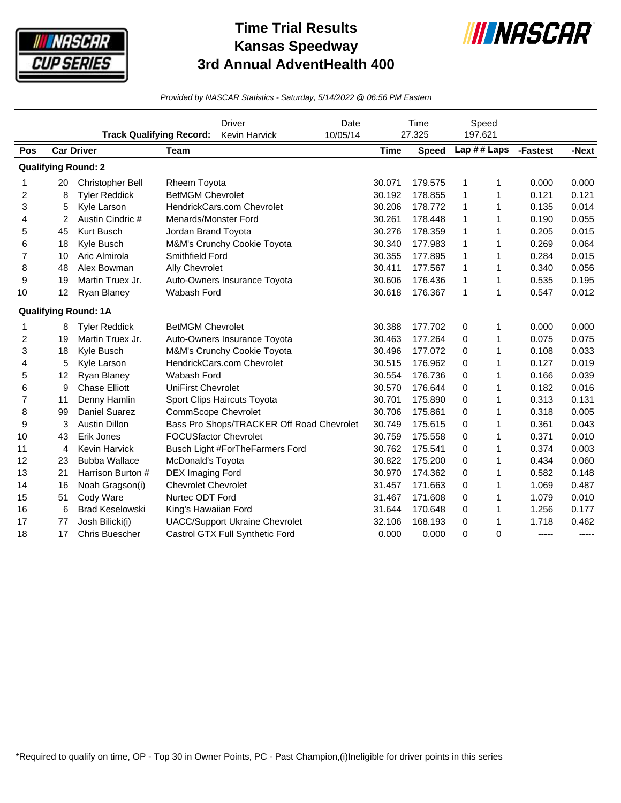

## **Time Trial Results Kansas Speedway 3rd Annual AdventHealth 400**



*Provided by NASCAR Statistics - Saturday, 5/14/2022 @ 06:56 PM Eastern*

|                            |                | <b>Track Qualifying Record:</b> |                              | <b>Driver</b><br>Kevin Harvick            | Date<br>10/05/14 | Time<br>27.325 |              | Speed<br>197.621 |               |          |       |
|----------------------------|----------------|---------------------------------|------------------------------|-------------------------------------------|------------------|----------------|--------------|------------------|---------------|----------|-------|
| Pos                        |                | <b>Car Driver</b>               | <b>Team</b>                  |                                           |                  | <b>Time</b>    | <b>Speed</b> |                  | Lap $##$ Laps | -Fastest | -Next |
| <b>Qualifying Round: 2</b> |                |                                 |                              |                                           |                  |                |              |                  |               |          |       |
| 1                          | 20             | <b>Christopher Bell</b>         | Rheem Toyota                 |                                           |                  | 30.071         | 179.575      | 1                | 1             | 0.000    | 0.000 |
| 2                          | 8              | <b>Tyler Reddick</b>            | <b>BetMGM Chevrolet</b>      |                                           |                  | 30.192         | 178.855      | 1                | 1             | 0.121    | 0.121 |
| 3                          | 5              | Kyle Larson                     |                              | HendrickCars.com Chevrolet                |                  | 30.206         | 178.772      | 1                | 1             | 0.135    | 0.014 |
| 4                          | $\overline{2}$ | Austin Cindric #                | Menards/Monster Ford         |                                           |                  | 30.261         | 178.448      | 1                | 1             | 0.190    | 0.055 |
| 5                          | 45             | Kurt Busch                      | Jordan Brand Toyota          |                                           |                  | 30.276         | 178.359      | 1                | 1             | 0.205    | 0.015 |
| 6                          | 18             | Kyle Busch                      |                              | M&M's Crunchy Cookie Toyota               |                  | 30.340         | 177.983      | 1                | 1             | 0.269    | 0.064 |
| 7                          | 10             | Aric Almirola                   | Smithfield Ford              |                                           |                  | 30.355         | 177.895      | 1                | 1             | 0.284    | 0.015 |
| 8                          | 48             | Alex Bowman                     | Ally Chevrolet               |                                           |                  | 30.411         | 177.567      | 1                | 1             | 0.340    | 0.056 |
| 9                          | 19             | Martin Truex Jr.                |                              | Auto-Owners Insurance Toyota              |                  | 30.606         | 176.436      | 1                | 1             | 0.535    | 0.195 |
| 10                         | 12             | <b>Ryan Blaney</b>              | Wabash Ford                  |                                           |                  | 30.618         | 176.367      | 1                | 1             | 0.547    | 0.012 |
|                            |                | <b>Qualifying Round: 1A</b>     |                              |                                           |                  |                |              |                  |               |          |       |
| 1                          | 8              | <b>Tyler Reddick</b>            | <b>BetMGM Chevrolet</b>      |                                           |                  | 30.388         | 177.702      | 0                | 1             | 0.000    | 0.000 |
| 2                          | 19             | Martin Truex Jr.                |                              | Auto-Owners Insurance Toyota              |                  | 30.463         | 177.264      | 0                | 1             | 0.075    | 0.075 |
| 3                          | 18             | Kyle Busch                      |                              | M&M's Crunchy Cookie Toyota               |                  | 30.496         | 177.072      | 0                | 1             | 0.108    | 0.033 |
| 4                          | 5              | Kyle Larson                     |                              | HendrickCars.com Chevrolet                |                  | 30.515         | 176.962      | 0                | 1             | 0.127    | 0.019 |
| 5                          | 12             | Ryan Blaney                     | Wabash Ford                  |                                           |                  | 30.554         | 176.736      | 0                | 1             | 0.166    | 0.039 |
| 6                          | 9              | <b>Chase Elliott</b>            | <b>UniFirst Chevrolet</b>    |                                           |                  | 30.570         | 176.644      | 0                | 1             | 0.182    | 0.016 |
| $\overline{7}$             | 11             | Denny Hamlin                    |                              | Sport Clips Haircuts Toyota               |                  | 30.701         | 175.890      | 0                | 1             | 0.313    | 0.131 |
| 8                          | 99             | Daniel Suarez                   | <b>CommScope Chevrolet</b>   |                                           |                  | 30.706         | 175.861      | 0                | 1             | 0.318    | 0.005 |
| 9                          | 3              | <b>Austin Dillon</b>            |                              | Bass Pro Shops/TRACKER Off Road Chevrolet |                  | 30.749         | 175.615      | 0                | 1             | 0.361    | 0.043 |
| 10                         | 43             | Erik Jones                      | <b>FOCUSfactor Chevrolet</b> |                                           |                  | 30.759         | 175.558      | 0                | 1             | 0.371    | 0.010 |
| 11                         | 4              | <b>Kevin Harvick</b>            |                              | Busch Light #ForTheFarmers Ford           |                  | 30.762         | 175.541      | 0                | 1             | 0.374    | 0.003 |
| 12                         | 23             | <b>Bubba Wallace</b>            | McDonald's Toyota            |                                           |                  | 30.822         | 175.200      | 0                | $\mathbf{1}$  | 0.434    | 0.060 |
| 13                         | 21             | Harrison Burton #               | <b>DEX Imaging Ford</b>      |                                           |                  | 30.970         | 174.362      | 0                | 1             | 0.582    | 0.148 |
| 14                         | 16             | Noah Gragson(i)                 | <b>Chevrolet Chevrolet</b>   |                                           |                  | 31.457         | 171.663      | 0                | 1             | 1.069    | 0.487 |
| 15                         | 51             | Cody Ware                       | Nurtec ODT Ford              |                                           |                  | 31.467         | 171.608      | 0                | 1             | 1.079    | 0.010 |
| 16                         | 6              | <b>Brad Keselowski</b>          | King's Hawaiian Ford         |                                           |                  | 31.644         | 170.648      | 0                | 1             | 1.256    | 0.177 |
| 17                         | 77             | Josh Bilicki(i)                 |                              | <b>UACC/Support Ukraine Chevrolet</b>     |                  | 32.106         | 168.193      | 0                | 1             | 1.718    | 0.462 |
| 18                         | 17             | <b>Chris Buescher</b>           |                              | Castrol GTX Full Synthetic Ford           |                  | 0.000          | 0.000        | 0                | 0             | -----    | ----- |